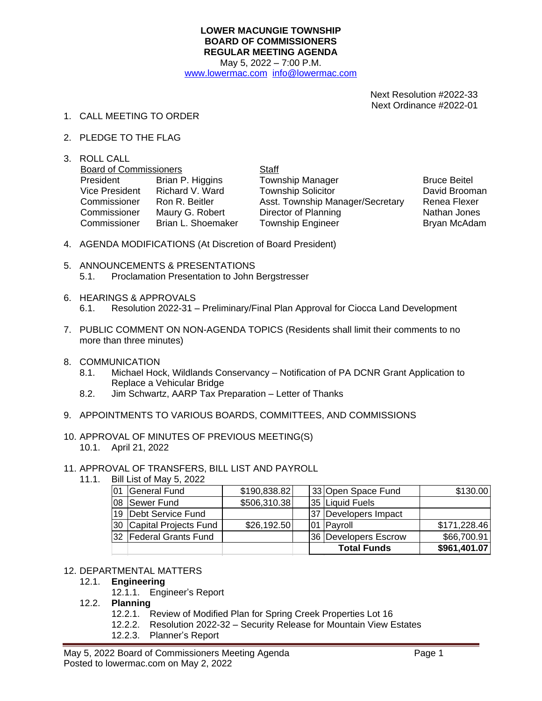#### **LOWER MACUNGIE TOWNSHIP BOARD OF COMMISSIONERS REGULAR MEETING AGENDA** May 5, 2022 – 7:00 P.M.

[www.lowermac.com](http://www.lowermac.com) [info@lowermac.com](mailto:info@lowermac.com)

Next Resolution #2022-33 Next Ordinance #2022-01

- 1. CALL MEETING TO ORDER
- 2. PLEDGE TO THE FLAG
- 3. ROLL CALL

| <b>Board of Commissioners</b> |                    | Staff                            |                     |  |
|-------------------------------|--------------------|----------------------------------|---------------------|--|
| President                     | Brian P. Higgins   | <b>Township Manager</b>          | <b>Bruce Beitel</b> |  |
| Vice President                | Richard V. Ward    | <b>Township Solicitor</b>        | David Broon         |  |
| Commissioner                  | Ron R. Beitler     | Asst. Township Manager/Secretary | Renea Flexe         |  |
| Commissioner                  | Maury G. Robert    | Director of Planning             | Nathan Jone         |  |
| Commissioner                  | Brian L. Shoemaker | <b>Township Engineer</b>         | <b>Bryan McAd</b>   |  |

David Brooman Renea Flexer Nathan Jones Bryan McAdam

- 4. AGENDA MODIFICATIONS (At Discretion of Board President)
- 5. ANNOUNCEMENTS & PRESENTATIONS 5.1. Proclamation Presentation to John Bergstresser
- 6. HEARINGS & APPROVALS
	- 6.1. Resolution 2022-31 Preliminary/Final Plan Approval for Ciocca Land Development
- 7. PUBLIC COMMENT ON NON-AGENDA TOPICS (Residents shall limit their comments to no more than three minutes)
- 8. COMMUNICATION
	- 8.1. Michael Hock, Wildlands Conservancy Notification of PA DCNR Grant Application to Replace a Vehicular Bridge
	- 8.2. Jim Schwartz, AARP Tax Preparation Letter of Thanks
- 9. APPOINTMENTS TO VARIOUS BOARDS, COMMITTEES, AND COMMISSIONS
- 10. APPROVAL OF MINUTES OF PREVIOUS MEETING(S) 10.1. April 21, 2022
- 11. APPROVAL OF TRANSFERS, BILL LIST AND PAYROLL
	- 11.1. Bill List of May 5, 2022

| 01 | General Fund             | \$190,838.82 | 33 Open Space Fund   | \$130.00     |
|----|--------------------------|--------------|----------------------|--------------|
|    | 08 Sewer Fund            | \$506,310.38 | 35 Liquid Fuels      |              |
|    | 19 Debt Service Fund     |              | 37 Developers Impact |              |
|    | 30 Capital Projects Fund | \$26,192.50  | 01 Payroll           | \$171,228.46 |
|    | 32 Federal Grants Fund   |              | 36 Developers Escrow | \$66,700.91  |
|    |                          |              | <b>Total Funds</b>   | \$961,401.07 |

#### 12. DEPARTMENTAL MATTERS

- 12.1. **Engineering**
	- 12.1.1. Engineer's Report
- 12.2. **Planning**
	- 12.2.1. Review of Modified Plan for Spring Creek Properties Lot 16
	- 12.2.2. Resolution 2022-32 Security Release for Mountain View Estates
	- 12.2.3. Planner's Report